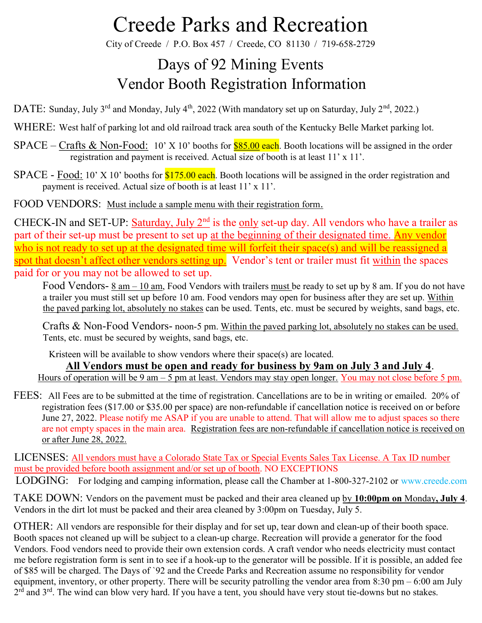City of Creede / P.O. Box 457 / Creede, CO 81130 / 719-658-2729

### Days of 92 Mining Events Vendor Booth Registration Information

DATE: Sunday, July 3<sup>rd</sup> and Monday, July 4<sup>th</sup>, 2022 (With mandatory set up on Saturday, July 2<sup>nd</sup>, 2022.)

WHERE: West half of parking lot and old railroad track area south of the Kentucky Belle Market parking lot.

 $SPACE - Crafts \& Non-Food: 10' X 10'$  booths for  $$85.00$  each. Booth locations will be assigned in the order registration and payment is received. Actual size of booth is at least 11' x 11'.

 $SPACE - Food: 10'$  X 10' booths for  $$175.00$  each. Booth locations will be assigned in the order registration and payment is received. Actual size of booth is at least 11' x 11'.

FOOD VENDORS: Must include a sample menu with their registration form.

CHECK-IN and SET-UP: Saturday, July 2<sup>nd</sup> is the only set-up day. All vendors who have a trailer as part of their set-up must be present to set up at the beginning of their designated time. Any vendor who is not ready to set up at the designated time will forfeit their space(s) and will be reassigned a spot that doesn't affect other vendors setting up. Vendor's tent or trailer must fit within the spaces paid for or you may not be allowed to set up.

Food Vendors- 8 am – 10 am, Food Vendors with trailers must be ready to set up by 8 am. If you do not have a trailer you must still set up before 10 am. Food vendors may open for business after they are set up. Within the paved parking lot, absolutely no stakes can be used. Tents, etc. must be secured by weights, sand bags, etc.

Crafts & Non-Food Vendors- noon-5 pm. Within the paved parking lot, absolutely no stakes can be used. Tents, etc. must be secured by weights, sand bags, etc.

Kristeen will be available to show vendors where their space(s) are located.

All Vendors must be open and ready for business by 9am on July 3 and July 4.

Hours of operation will be 9 am – 5 pm at least. Vendors may stay open longer. You may not close before 5 pm.

FEES: All Fees are to be submitted at the time of registration. Cancellations are to be in writing or emailed. 20% of registration fees (\$17.00 or \$35.00 per space) are non-refundable if cancellation notice is received on or before June 27, 2022. Please notify me ASAP if you are unable to attend. That will allow me to adjust spaces so there are not empty spaces in the main area. Registration fees are non-refundable if cancellation notice is received on or after June 28, 2022.

LICENSES: All vendors must have a Colorado State Tax or Special Events Sales Tax License. A Tax ID number must be provided before booth assignment and/or set up of booth. NO EXCEPTIONS LODGING: For lodging and camping information, please call the Chamber at 1-800-327-2102 or www.creede.com

TAKE DOWN: Vendors on the pavement must be packed and their area cleaned up by 10:00pm on Monday, July 4. Vendors in the dirt lot must be packed and their area cleaned by 3:00pm on Tuesday, July 5.

OTHER: All vendors are responsible for their display and for set up, tear down and clean-up of their booth space. Booth spaces not cleaned up will be subject to a clean-up charge. Recreation will provide a generator for the food Vendors. Food vendors need to provide their own extension cords. A craft vendor who needs electricity must contact me before registration form is sent in to see if a hook-up to the generator will be possible. If it is possible, an added fee of \$85 will be charged. The Days of `92 and the Creede Parks and Recreation assume no responsibility for vendor equipment, inventory, or other property. There will be security patrolling the vendor area from  $8:30 \text{ pm} - 6:00 \text{ am July}$  $2^{rd}$  and  $3^{rd}$ . The wind can blow very hard. If you have a tent, you should have very stout tie-downs but no stakes.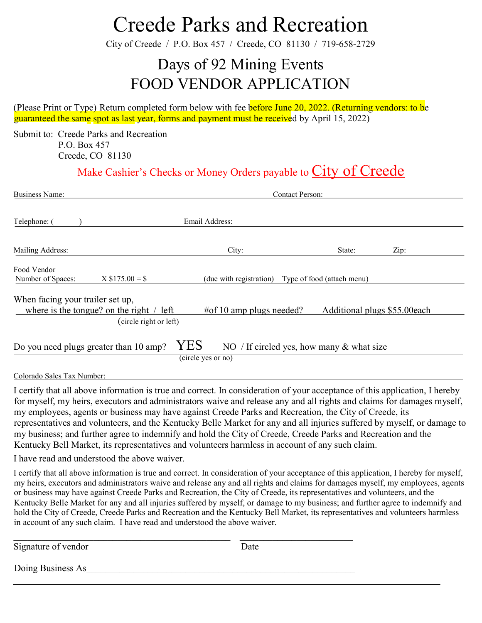City of Creede / P.O. Box 457 / Creede, CO 81130 / 719-658-2729

### Days of 92 Mining Events FOOD VENDOR APPLICATION

(Please Print or Type) Return completed form below with fee before June 20, 2022. (Returning vendors: to be guaranteed the same spot as last year, forms and payment must be received by April 15, 2022)

Submit to: Creede Parks and Recreation P.O. Box 457 Creede, CO 81130

#### Make Cashier's Checks or Money Orders payable to City of Creede

| <b>Business Name:</b>                                                                                              | <b>Contact Person:</b>   |                            |                              |  |  |
|--------------------------------------------------------------------------------------------------------------------|--------------------------|----------------------------|------------------------------|--|--|
| Telephone: (                                                                                                       | Email Address:           |                            |                              |  |  |
| Mailing Address:                                                                                                   | City:                    | State:                     | Zip:                         |  |  |
| Food Vendor<br>$X $175.00 = $$<br>Number of Spaces:                                                                | (due with registration)  | Type of food (attach menu) |                              |  |  |
| When facing your trailer set up,<br>where is the tongue? on the right $\ell$ left                                  | #of 10 amp plugs needed? |                            | Additional plugs \$55.00each |  |  |
| (circle right or left)                                                                                             |                          |                            |                              |  |  |
| YES<br>Do you need plugs greater than 10 amp?<br>NO / If circled yes, how many $&$ what size<br>(circle yes or no) |                          |                            |                              |  |  |
| Colorado Sales Tax Number:                                                                                         |                          |                            |                              |  |  |

I certify that all above information is true and correct. In consideration of your acceptance of this application, I hereby for myself, my heirs, executors and administrators waive and release any and all rights and claims for damages myself, my employees, agents or business may have against Creede Parks and Recreation, the City of Creede, its representatives and volunteers, and the Kentucky Belle Market for any and all injuries suffered by myself, or damage to my business; and further agree to indemnify and hold the City of Creede, Creede Parks and Recreation and the Kentucky Bell Market, its representatives and volunteers harmless in account of any such claim.

I have read and understood the above waiver.

I certify that all above information is true and correct. In consideration of your acceptance of this application, I hereby for myself, my heirs, executors and administrators waive and release any and all rights and claims for damages myself, my employees, agents or business may have against Creede Parks and Recreation, the City of Creede, its representatives and volunteers, and the Kentucky Belle Market for any and all injuries suffered by myself, or damage to my business; and further agree to indemnify and hold the City of Creede, Creede Parks and Recreation and the Kentucky Bell Market, its representatives and volunteers harmless in account of any such claim. I have read and understood the above waiver.

Signature of vendor Date Doing Business As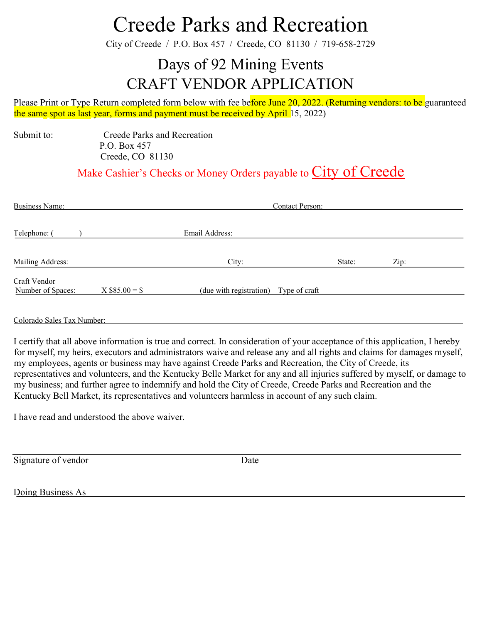City of Creede / P.O. Box 457 / Creede, CO 81130 / 719-658-2729

### Days of 92 Mining Events CRAFT VENDOR APPLICATION

Please Print or Type Return completed form below with fee before June 20, 2022. (Returning vendors: to be guaranteed the same spot as last year, forms and payment must be received by April 15, 2022)

Submit to: Creede Parks and Recreation P.O. Box 457 Creede, CO 81130

Make Cashier's Checks or Money Orders payable to City of Creede

| <b>Business Name:</b>             |                  | <b>Contact Person:</b>  |               |      |  |
|-----------------------------------|------------------|-------------------------|---------------|------|--|
| Telephone: (                      |                  | Email Address:          |               |      |  |
| Mailing Address:                  |                  | City:                   | State:        | Zip: |  |
| Craft Vendor<br>Number of Spaces: | $X$ \$85.00 = \$ | (due with registration) | Type of craft |      |  |

Colorado Sales Tax Number:

I certify that all above information is true and correct. In consideration of your acceptance of this application, I hereby for myself, my heirs, executors and administrators waive and release any and all rights and claims for damages myself, my employees, agents or business may have against Creede Parks and Recreation, the City of Creede, its representatives and volunteers, and the Kentucky Belle Market for any and all injuries suffered by myself, or damage to my business; and further agree to indemnify and hold the City of Creede, Creede Parks and Recreation and the Kentucky Bell Market, its representatives and volunteers harmless in account of any such claim.

I have read and understood the above waiver.

Signature of vendor Date

Doing Business As